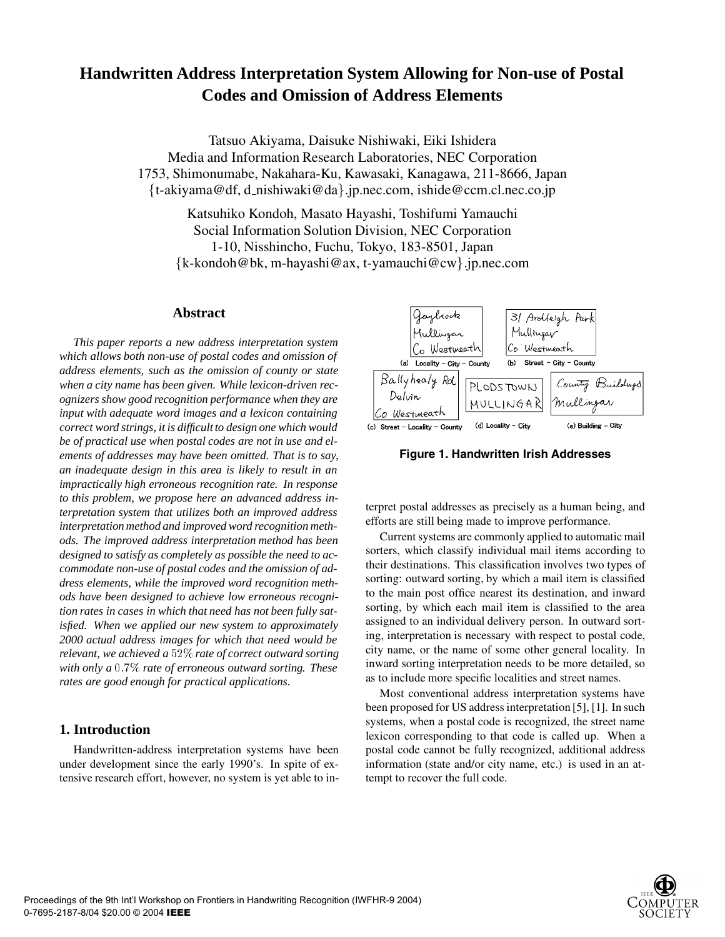# **Handwritten Address Interpretation System Allowing for Non-use of Postal Codes and Omission of Address Elements**

Tatsuo Akiyama, Daisuke Nishiwaki, Eiki Ishidera Media and Information Research Laboratories, NEC Corporation 1753, Shimonumabe, Nakahara-Ku, Kawasaki, Kanagawa, 211-8666, Japan t-akiyama@df, d nishiwaki@da.jp.nec.com, ishide@ccm.cl.nec.co.jp

Katsuhiko Kondoh, Masato Hayashi, Toshifumi Yamauchi Social Information Solution Division, NEC Corporation 1-10, Nisshincho, Fuchu, Tokyo, 183-8501, Japan  $\{k\text{-}k (nk) \geq 0\}$ k, m-hayashi@ax, t-yamauchi@cw $\}$ .jp.nec.com

# **Abstract**

*This paper reports a new address interpretation system which allows both non-use of postal codes and omission of address elements, such as the omission of county or state when a city name has been given. While lexicon-driven recognizers show good recognition performance when they are input with adequate word images and a lexicon containing correct word strings, it is difficult to design one which would be of practical use when postal codes are not in use and elements of addresses may have been omitted. That is to say, an inadequate design in this area is likely to result in an impractically high erroneous recognition rate. In response to this problem, we propose here an advanced address interpretation system that utilizes both an improved address interpretation method and improved word recognition methods. The improved address interpretation method has been designed to satisfy as completely as possible the need to accommodate non-use of postal codes and the omission of address elements, while the improved word recognition methods have been designed to achieve low erroneous recognition rates in cases in which that need has not been fully satisfied. When we applied our new system to approximately 2000 actual address images for which that need would be* relevant, we achieved a  $52\%$  rate of correct outward sorting with only a  $0.7\%$  rate of erroneous outward sorting. These *rates are good enough for practical applications.*

# **1. Introduction**

Handwritten-address interpretation systems have been under development since the early 1990's. In spite of extensive research effort, however, no system is yet able to in-



**Figure 1. Handwritten Irish Addresses**

terpret postal addresses as precisely as a human being, and efforts are still being made to improve performance.

Current systems are commonly applied to automatic mail sorters, which classify individual mail items according to their destinations. This classification involves two types of sorting: outward sorting, by which a mail item is classified to the main post office nearest its destination, and inward sorting, by which each mail item is classified to the area assigned to an individual delivery person. In outward sorting, interpretation is necessary with respect to postal code, city name, or the name of some other general locality. In inward sorting interpretation needs to be more detailed, so as to include more specific localities and street names.

Most conventional address interpretation systems have been proposed for US address interpretation [5], [1]. In such systems, when a postal code is recognized, the street name lexicon corresponding to that code is called up. When a postal code cannot be fully recognized, additional address information (state and/or city name, etc.) is used in an attempt to recover the full code.

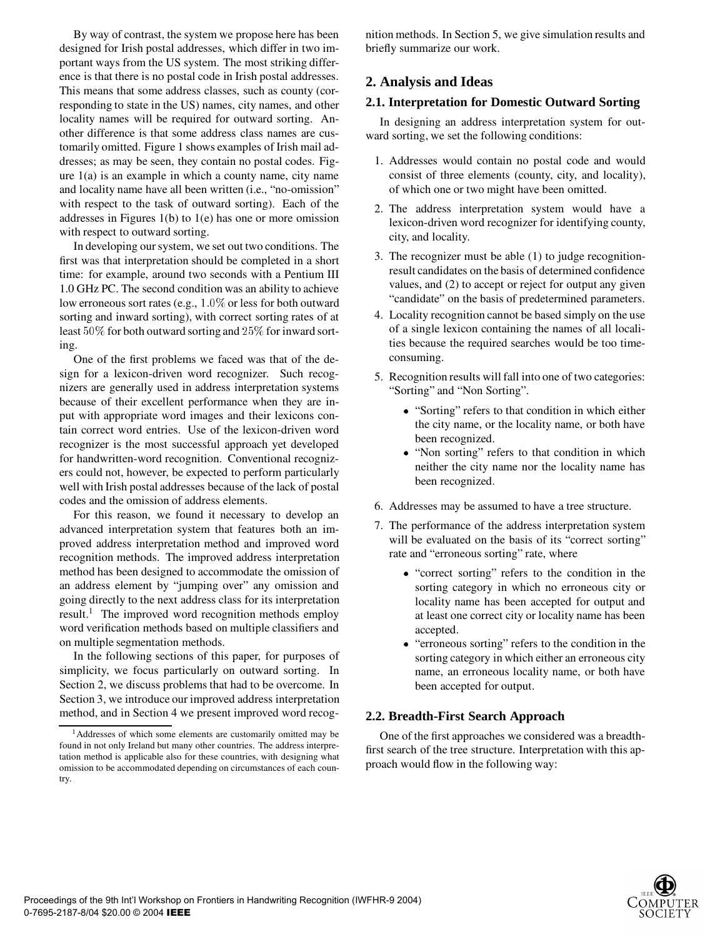By way of contrast, the system we propose here has been designed for Irish postal addresses, which differ in two important ways from the US system. The most striking difference is that there is no postal code in Irish postal addresses. This means that some address classes, such as county (corresponding to state in the US) names, city names, and other locality names will be required for outward sorting. Another difference is that some address class names are customarily omitted. Figure 1 shows examples of Irish mail addresses; as may be seen, they contain no postal codes. Figure  $1(a)$  is an example in which a county name, city name and locality name have all been written (i.e., "no-omission" with respect to the task of outward sorting). Each of the addresses in Figures 1(b) to 1(e) has one or more omission with respect to outward sorting.

In developing our system, we set out two conditions. The first was that interpretation should be completed in a short time: for example, around two seconds with a Pentium III 1.0 GHz PC. The second condition was an ability to achieve low erroneous sort rates (e.g.,  $1.0\%$  or less for both outward sorting and inward sorting), with correct sorting rates of at least  $50\%$  for both outward sorting and  $25\%$  for inward sorting.

One of the first problems we faced was that of the design for a lexicon-driven word recognizer. Such recognizers are generally used in address interpretation systems because of their excellent performance when they are input with appropriate word images and their lexicons contain correct word entries. Use of the lexicon-driven word recognizer is the most successful approach yet developed for handwritten-word recognition. Conventional recognizers could not, however, be expected to perform particularly well with Irish postal addresses because of the lack of postal codes and the omission of address elements.

For this reason, we found it necessary to develop an advanced interpretation system that features both an improved address interpretation method and improved word recognition methods. The improved address interpretation method has been designed to accommodate the omission of an address element by "jumping over" any omission and going directly to the next address class for its interpretation result.<sup>1</sup> The improved word recognition methods employ word verification methods based on multiple classifiers and on multiple segmentation methods.

In the following sections of this paper, for purposes of simplicity, we focus particularly on outward sorting. In Section 2, we discuss problems that had to be overcome. In Section 3, we introduce our improved address interpretation method, and in Section 4 we present improved word recognition methods. In Section 5, we give simulation results and briefly summarize our work.

# **2. Analysis and Ideas**

# **2.1. Interpretation for Domestic Outward Sorting**

In designing an address interpretation system for outward sorting, we set the following conditions:

- 1. Addresses would contain no postal code and would consist of three elements (county, city, and locality), of which one or two might have been omitted.
- 2. The address interpretation system would have a lexicon-driven word recognizer for identifying county, city, and locality.
- 3. The recognizer must be able (1) to judge recognitionresult candidates on the basis of determined confidence values, and (2) to accept or reject for output any given "candidate" on the basis of predetermined parameters.
- 4. Locality recognition cannot be based simply on the use of a single lexicon containing the names of all localities because the required searches would be too timeconsuming.
- 5. Recognition results will fall into one of two categories: "Sorting" and "Non Sorting".
	- "Sorting" refers to that condition in which either the city name, or the locality name, or both have been recognized.
	- "Non sorting" refers to that condition in which neither the city name nor the locality name has been recognized.
- 6. Addresses may be assumed to have a tree structure.
- 7. The performance of the address interpretation system will be evaluated on the basis of its "correct sorting" rate and "erroneous sorting" rate, where
	- "correct sorting" refers to the condition in the sorting category in which no erroneous city or locality name has been accepted for output and at least one correct city or locality name has been accepted.
	- "erroneous sorting" refers to the condition in the sorting category in which either an erroneous city name, an erroneous locality name, or both have been accepted for output.

# **2.2. Breadth-First Search Approach**

One of the first approaches we considered was a breadthfirst search of the tree structure. Interpretation with this approach would flow in the following way:



<sup>&</sup>lt;sup>1</sup>Addresses of which some elements are customarily omitted may be found in not only Ireland but many other countries. The address interpretation method is applicable also for these countries, with designing what omission to be accommodated depending on circumstances of each country.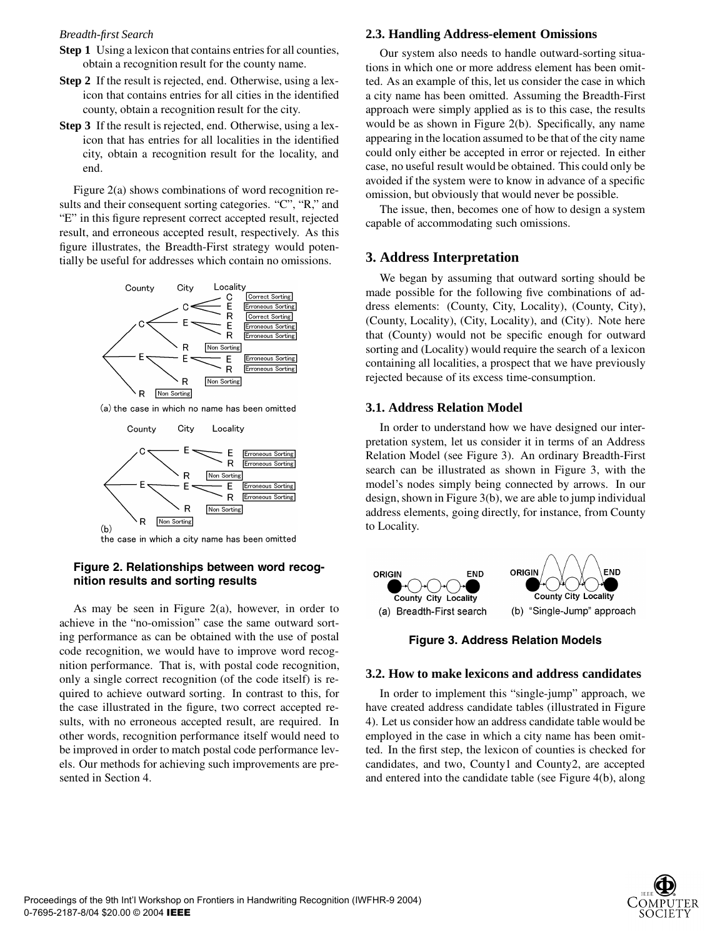#### *Breadth-first Search*

- **Step 1** Using a lexicon that contains entries for all counties, obtain a recognition result for the county name.
- **Step 2** If the result is rejected, end. Otherwise, using a lexicon that contains entries for all cities in the identified county, obtain a recognition result for the city.
- **Step 3** If the result is rejected, end. Otherwise, using a lexicon that has entries for all localities in the identified city, obtain a recognition result for the locality, and end.

Figure 2(a) shows combinations of word recognition results and their consequent sorting categories. "C", "R," and "E" in this figure represent correct accepted result, rejected result, and erroneous accepted result, respectively. As this figure illustrates, the Breadth-First strategy would potentially be useful for addresses which contain no omissions.



(a) the case in which no name has been omitted

City Locality County



the case in which a city name has been omitted

### **Figure 2. Relationships between word recognition results and sorting results**

As may be seen in Figure 2(a), however, in order to achieve in the "no-omission" case the same outward sorting performance as can be obtained with the use of postal code recognition, we would have to improve word recognition performance. That is, with postal code recognition, only a single correct recognition (of the code itself) is required to achieve outward sorting. In contrast to this, for the case illustrated in the figure, two correct accepted results, with no erroneous accepted result, are required. In other words, recognition performance itself would need to be improved in order to match postal code performance levels. Our methods for achieving such improvements are presented in Section 4.

#### **2.3. Handling Address-element Omissions**

Our system also needs to handle outward-sorting situations in which one or more address element has been omitted. As an example of this, let us consider the case in which a city name has been omitted. Assuming the Breadth-First approach were simply applied as is to this case, the results would be as shown in Figure 2(b). Specifically, any name appearing in the location assumed to be that of the city name could only either be accepted in error or rejected. In either case, no useful result would be obtained. This could only be avoided if the system were to know in advance of a specific omission, but obviously that would never be possible.

The issue, then, becomes one of how to design a system capable of accommodating such omissions.

### **3. Address Interpretation**

We began by assuming that outward sorting should be made possible for the following five combinations of address elements: (County, City, Locality), (County, City), (County, Locality), (City, Locality), and (City). Note here that (County) would not be specific enough for outward sorting and (Locality) would require the search of a lexicon containing all localities, a prospect that we have previously rejected because of its excess time-consumption.

#### **3.1. Address Relation Model**

In order to understand how we have designed our interpretation system, let us consider it in terms of an Address Relation Model (see Figure 3). An ordinary Breadth-First search can be illustrated as shown in Figure 3, with the model's nodes simply being connected by arrows. In our design, shown in Figure 3(b), we are able to jump individual address elements, going directly, for instance, from County to Locality.



**Figure 3. Address Relation Models**

### **3.2. How to make lexicons and address candidates**

In order to implement this "single-jump" approach, we have created address candidate tables (illustrated in Figure 4). Let us consider how an address candidate table would be employed in the case in which a city name has been omitted. In the first step, the lexicon of counties is checked for candidates, and two, County1 and County2, are accepted and entered into the candidate table (see Figure 4(b), along

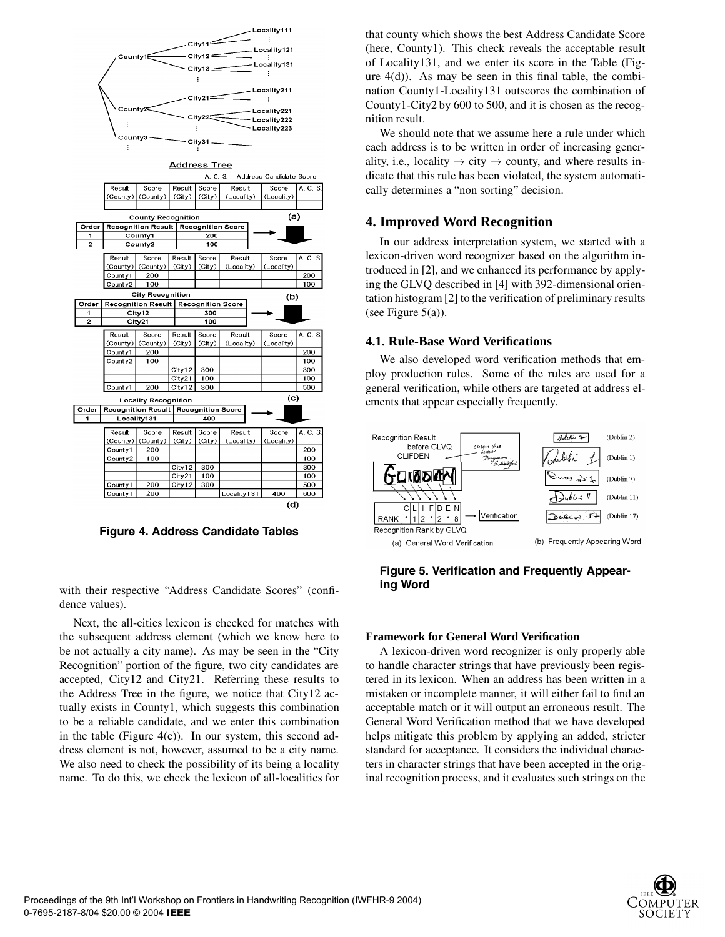

**Figure 4. Address Candidate Tables**

with their respective "Address Candidate Scores" (confidence values).

Next, the all-cities lexicon is checked for matches with the subsequent address element (which we know here to be not actually a city name). As may be seen in the "City Recognition" portion of the figure, two city candidates are accepted, City12 and City21. Referring these results to the Address Tree in the figure, we notice that City12 actually exists in County1, which suggests this combination to be a reliable candidate, and we enter this combination in the table (Figure  $4(c)$ ). In our system, this second address element is not, however, assumed to be a city name. We also need to check the possibility of its being a locality name. To do this, we check the lexicon of all-localities for that county which shows the best Address Candidate Score (here, County1). This check reveals the acceptable result of Locality131, and we enter its score in the Table (Figure  $4(d)$ ). As may be seen in this final table, the combination County1-Locality131 outscores the combination of County1-City2 by 600 to 500, and it is chosen as the recognition result.

We should note that we assume here a rule under which each address is to be written in order of increasing generality, i.e., locality  $\rightarrow$  city  $\rightarrow$  county, and where results indicate that this rule has been violated, the system automatically determines a "non sorting" decision.

# **4. Improved Word Recognition**

In our address interpretation system, we started with a lexicon-driven word recognizer based on the algorithm introduced in [2], and we enhanced its performance by applying the GLVQ described in [4] with 392-dimensional orientation histogram [2] to the verification of preliminary results (see Figure  $5(a)$ ).

# **4.1. Rule-Base Word Verifications**

We also developed word verification methods that employ production rules. Some of the rules are used for a general verification, while others are targeted at address elements that appear especially frequently.



# **Figure 5. Verification and Frequently Appearing Word**

#### **Framework for General Word Verification**

A lexicon-driven word recognizer is only properly able to handle character strings that have previously been registered in its lexicon. When an address has been written in a mistaken or incomplete manner, it will either fail to find an acceptable match or it will output an erroneous result. The General Word Verification method that we have developed helps mitigate this problem by applying an added, stricter standard for acceptance. It considers the individual characters in character strings that have been accepted in the original recognition process, and it evaluates such strings on the

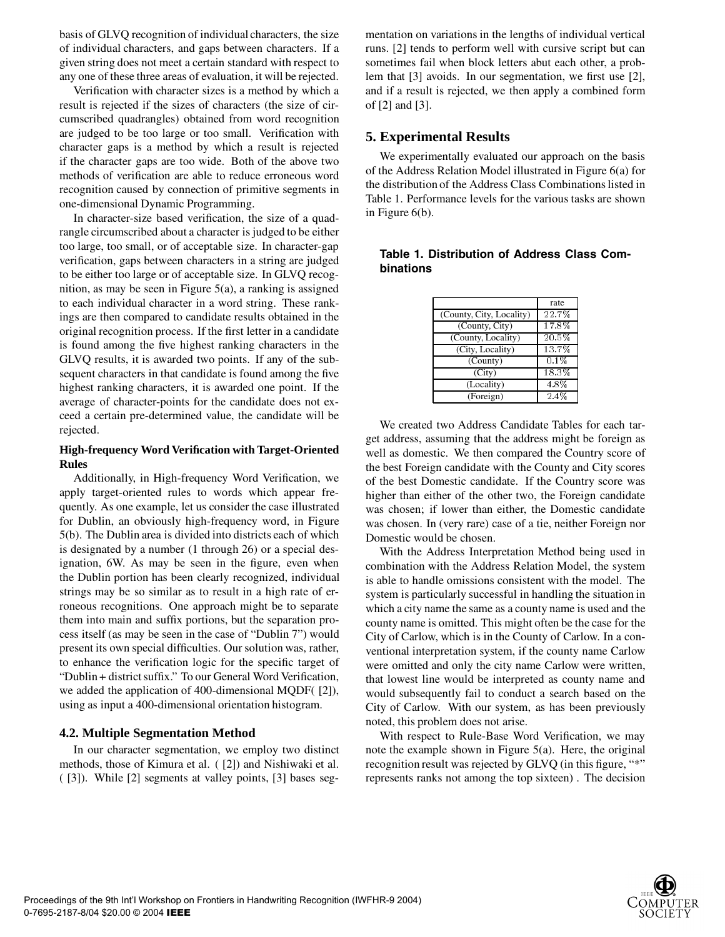basis of GLVQ recognition of individual characters, the size of individual characters, and gaps between characters. If a given string does not meet a certain standard with respect to any one of these three areas of evaluation, it will be rejected.

Verification with character sizes is a method by which a result is rejected if the sizes of characters (the size of circumscribed quadrangles) obtained from word recognition are judged to be too large or too small. Verification with character gaps is a method by which a result is rejected if the character gaps are too wide. Both of the above two methods of verification are able to reduce erroneous word recognition caused by connection of primitive segments in one-dimensional Dynamic Programming.

In character-size based verification, the size of a quadrangle circumscribed about a character is judged to be either too large, too small, or of acceptable size. In character-gap verification, gaps between characters in a string are judged to be either too large or of acceptable size. In GLVQ recognition, as may be seen in Figure  $5(a)$ , a ranking is assigned to each individual character in a word string. These rankings are then compared to candidate results obtained in the original recognition process. If the first letter in a candidate is found among the five highest ranking characters in the GLVQ results, it is awarded two points. If any of the subsequent characters in that candidate is found among the five highest ranking characters, it is awarded one point. If the average of character-points for the candidate does not exceed a certain pre-determined value, the candidate will be rejected.

### **High-frequency Word Verification with Target-Oriented Rules**

Additionally, in High-frequency Word Verification, we apply target-oriented rules to words which appear frequently. As one example, let us consider the case illustrated for Dublin, an obviously high-frequency word, in Figure 5(b). The Dublin area is divided into districts each of which is designated by a number (1 through 26) or a special designation, 6W. As may be seen in the figure, even when the Dublin portion has been clearly recognized, individual strings may be so similar as to result in a high rate of erroneous recognitions. One approach might be to separate them into main and suffix portions, but the separation process itself (as may be seen in the case of "Dublin 7") would present its own special difficulties. Our solution was, rather, to enhance the verification logic for the specific target of "Dublin + district suffix." To our General Word Verification, we added the application of 400-dimensional MQDF( [2]), using as input a 400-dimensional orientation histogram.

# **4.2. Multiple Segmentation Method**

In our character segmentation, we employ two distinct methods, those of Kimura et al. ( [2]) and Nishiwaki et al. ( [3]). While [2] segments at valley points, [3] bases segmentation on variations in the lengths of individual vertical runs. [2] tends to perform well with cursive script but can sometimes fail when block letters abut each other, a problem that [3] avoids. In our segmentation, we first use [2], and if a result is rejected, we then apply a combined form of [2] and [3].

# **5. Experimental Results**

We experimentally evaluated our approach on the basis of the Address Relation Model illustrated in Figure 6(a) for the distribution of the Address Class Combinations listed in Table 1. Performance levels for the various tasks are shown in Figure 6(b).

|                                     | rate    |
|-------------------------------------|---------|
| (County, City, Locality)            | 22.7%   |
| $\overline{\text{(Country, City)}}$ | 17.8%   |
| (County, Locality)                  | 20.5%   |
| (City, Locality)                    | 13.7%   |
| $\overline{\text{(Country)}}$       | $0.1\%$ |
| (City)                              | 18.3%   |
| (Locality)                          | $4.8\%$ |
| (Foreign)                           | 2.4%    |

## **Table 1. Distribution of Address Class Combinations**

We created two Address Candidate Tables for each target address, assuming that the address might be foreign as well as domestic. We then compared the Country score of the best Foreign candidate with the County and City scores of the best Domestic candidate. If the Country score was higher than either of the other two, the Foreign candidate was chosen; if lower than either, the Domestic candidate was chosen. In (very rare) case of a tie, neither Foreign nor Domestic would be chosen.

With the Address Interpretation Method being used in combination with the Address Relation Model, the system is able to handle omissions consistent with the model. The system is particularly successful in handling the situation in which a city name the same as a county name is used and the county name is omitted. This might often be the case for the City of Carlow, which is in the County of Carlow. In a conventional interpretation system, if the county name Carlow were omitted and only the city name Carlow were written, that lowest line would be interpreted as county name and would subsequently fail to conduct a search based on the City of Carlow. With our system, as has been previously noted, this problem does not arise.

With respect to Rule-Base Word Verification, we may note the example shown in Figure 5(a). Here, the original recognition result was rejected by GLVQ (in this figure, "\*" represents ranks not among the top sixteen) . The decision